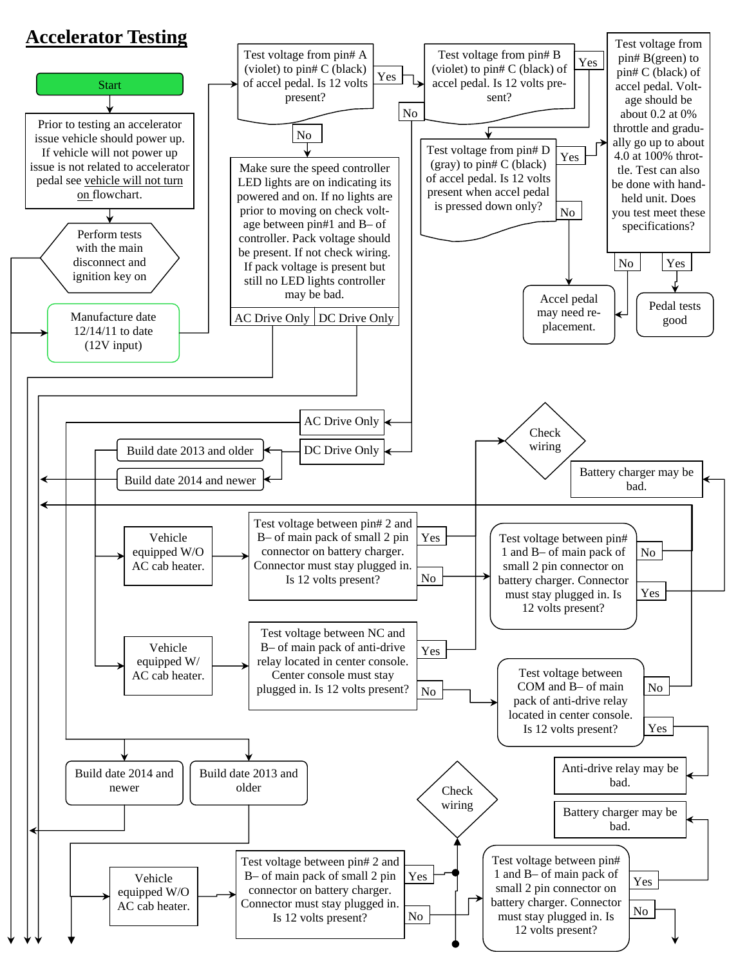

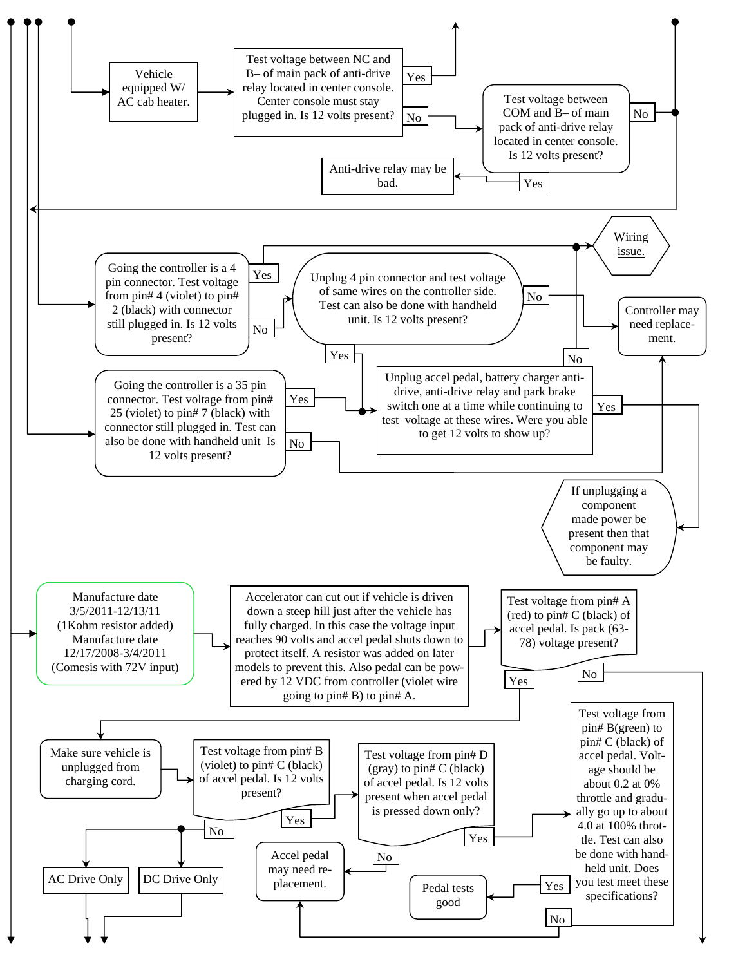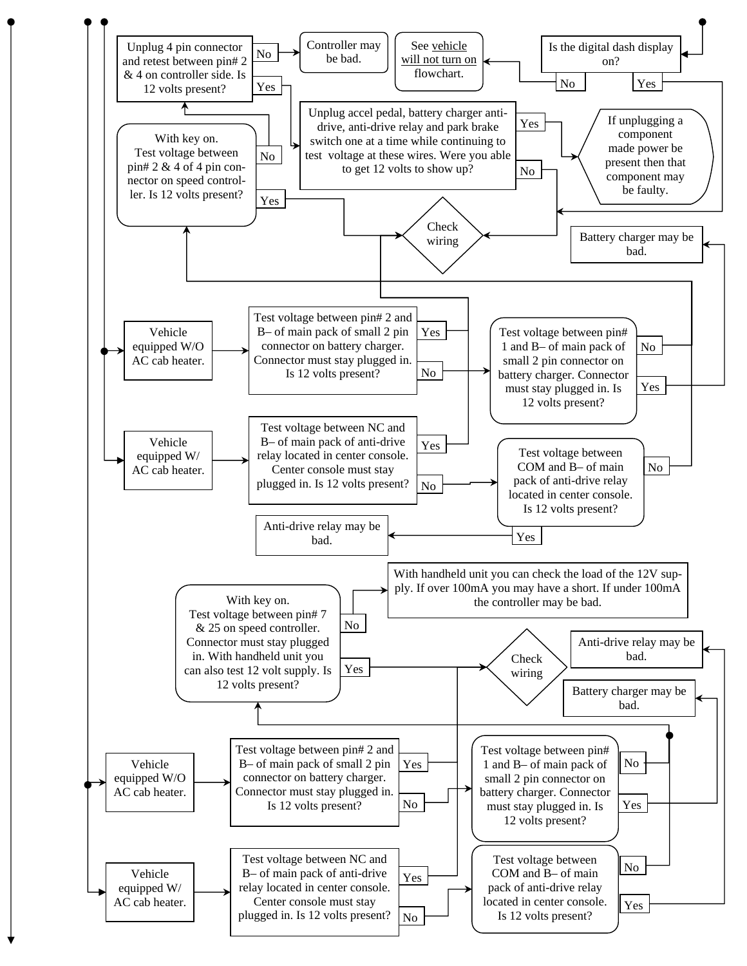